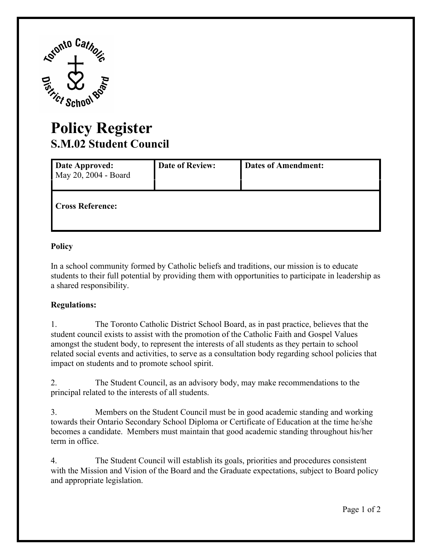

## **Policy Register S.M.02 Student Council**

| Date Approved:<br>May 20, 2004 - Board | <b>Date of Review:</b> | <b>Dates of Amendment:</b> |
|----------------------------------------|------------------------|----------------------------|
| <b>Cross Reference:</b>                |                        |                            |

## **Policy**

In a school community formed by Catholic beliefs and traditions, our mission is to educate students to their full potential by providing them with opportunities to participate in leadership as a shared responsibility.

## **Regulations:**

 $1_{-}$ The Toronto Catholic District School Board, as in past practice, believes that the student council exists to assist with the promotion of the Catholic Faith and Gospel Values amongst the student body, to represent the interests of all students as they pertain to school related social events and activities, to serve as a consultation body regarding school policies that impact on students and to promote school spirit.

 $2<sub>1</sub>$ The Student Council, as an advisory body, may make recommendations to the principal related to the interests of all students.

3. becomes a candidate. Members must maintain that good academic standing throughout his/her 3. Members on the Student Council must be in good academic standing and working towards their Ontario Secondary School Diploma or Certificate of Education at the time he/she term in office.

4. with the Mission and Vision of the Board and the Graduate expectations, subject to Board policy The Student Council will establish its goals, priorities and procedures consistent and appropriate legislation.